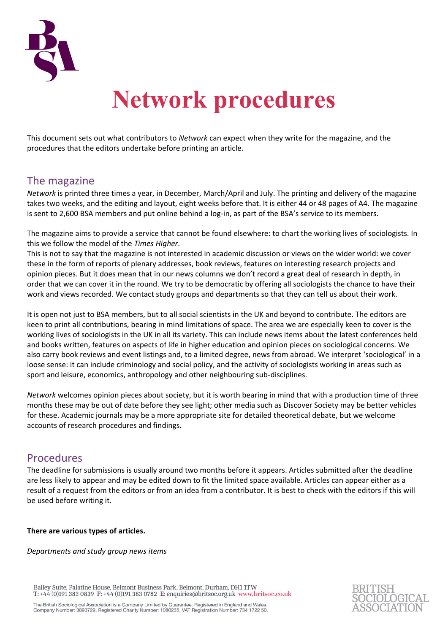

# **Network procedures**

This document sets out what contributors to *Network* can expect when they write for the magazine, and the procedures that the editors undertake before printing an article.

# The magazine

*Network* is printed three times a year, in December, March/April and July. The printing and delivery of the magazine takes two weeks, and the editing and layout, eight weeks before that. It is either 44 or 48 pages of A4. The magazine is sent to 2,600 BSA members and put online behind a log-in, as part of the BSA's service to its members.

The magazine aims to provide a service that cannot be found elsewhere: to chart the working lives of sociologists. In this we follow the model of the *Times Higher*.

This is not to say that the magazine is not interested in academic discussion or views on the wider world: we cover these in the form of reports of plenary addresses, book reviews, features on interesting research projects and opinion pieces. But it does mean that in our news columns we don't record a great deal of research in depth, in order that we can cover it in the round. We try to be democratic by offering all sociologists the chance to have their work and views recorded. We contact study groups and departments so that they can tell us about their work.

It is open not just to BSA members, but to all social scientists in the UK and beyond to contribute. The editors are keen to print all contributions, bearing in mind limitations of space. The area we are especially keen to cover is the working lives of sociologists in the UK in all its variety. This can include news items about the latest conferences held and books written, features on aspects of life in higher education and opinion pieces on sociological concerns. We also carry book reviews and event listings and, to a limited degree, news from abroad. We interpret 'sociological' in a loose sense: it can include criminology and social policy, and the activity of sociologists working in areas such as sport and leisure, economics, anthropology and other neighbouring sub-disciplines.

*Network* welcomes opinion pieces about society, but it is worth bearing in mind that with a production time of three months these may be out of date before they see light; other media such as Discover Society may be better vehicles for these. Academic journals may be a more appropriate site for detailed theoretical debate, but we welcome accounts of research procedures and findings.

# Procedures

The deadline for submissions is usually around two months before it appears. Articles submitted after the deadline are less likely to appear and may be edited down to fit the limited space available. Articles can appear either as a result of a request from the editors or from an idea from a contributor. It is best to check with the editors if this will be used before writing it.

# **There are various types of articles.**

*Departments and study group news items*

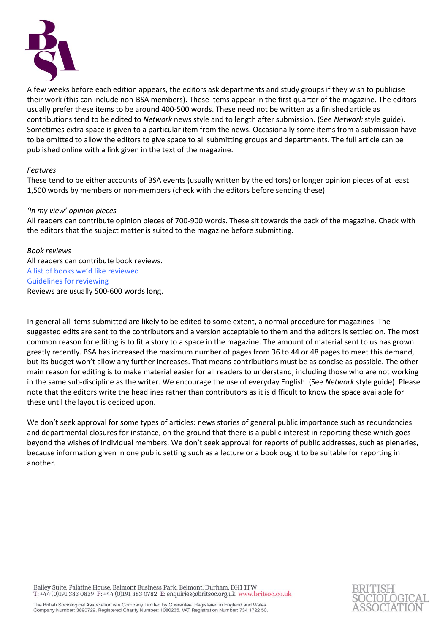

A few weeks before each edition appears, the editors ask departments and study groups if they wish to publicise their work (this can include non-BSA members). These items appear in the first quarter of the magazine. The editors usually prefer these items to be around 400-500 words. These need not be written as a finished article as contributions tend to be edited to *Network* news style and to length after submission. (See *Network* style guide). Sometimes extra space is given to a particular item from the news. Occasionally some items from a submission have to be omitted to allow the editors to give space to all submitting groups and departments. The full article can be published online with a link given in the text of the magazine.

#### *Features*

These tend to be either accounts of BSA events (usually written by the editors) or longer opinion pieces of at least 1,500 words by members or non-members (check with the editors before sending these).

#### *'In my view' opinion pieces*

All readers can contribute opinion pieces of 700-900 words. These sit towards the back of the magazine. Check with the editors that the subject matter is suited to the magazine before submitting.

## *Book reviews*

All readers can contribute book reviews. A list of books we'd like reviewed Guidelines for reviewing Reviews are usually 500-600 words long.

In general all items submitted are likely to be edited to some extent, a normal procedure for magazines. The suggested edits are sent to the contributors and a version acceptable to them and the editors is settled on. The most common reason for editing is to fit a story to a space in the magazine. The amount of material sent to us has grown greatly recently. BSA has increased the maximum number of pages from 36 to 44 or 48 pages to meet this demand, but its budget won't allow any further increases. That means contributions must be as concise as possible. The other main reason for editing is to make material easier for all readers to understand, including those who are not working in the same sub-discipline as the writer. We encourage the use of everyday English. (See *Network* style guide). Please note that the editors write the headlines rather than contributors as it is difficult to know the space available for these until the layout is decided upon.

We don't seek approval for some types of articles: news stories of general public importance such as redundancies and departmental closures for instance, on the ground that there is a public interest in reporting these which goes beyond the wishes of individual members. We don't seek approval for reports of public addresses, such as plenaries, because information given in one public setting such as a lecture or a book ought to be suitable for reporting in another.

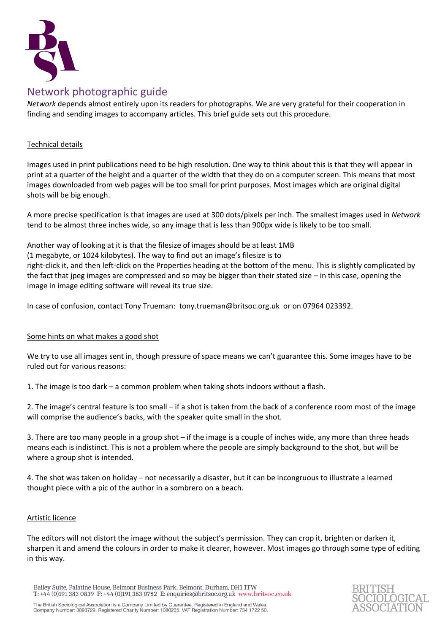

# Network photographic guide

*Network* depends almost entirely upon its readers for photographs. We are very grateful for their cooperation in finding and sending images to accompany articles. This brief guide sets out this procedure.

# Technical details

Images used in print publications need to be high resolution. One way to think about this is that they will appear in print at a quarter of the height and a quarter of the width that they do on a computer screen. This means that most images downloaded from web pages will be too small for print purposes. Most images which are original digital shots will be big enough.

A more precise specification is that images are used at 300 dots/pixels per inch. The smallest images used in *Network* tend to be almost three inches wide, so any image that is less than 900px wide is likely to be too small.

Another way of looking at it is that the filesize of images should be at least 1MB (1 megabyte, or 1024 kilobytes). The way to find out an image's filesize is to right-click it, and then left-click on the Properties heading at the bottom of the menu. This is slightly complicated by the fact that jpeg images are compressed and so may be bigger than their stated size – in this case, opening the image in image editing software will reveal its true size.

In case of confusion, contact Tony Trueman: tony.trueman@britsoc.org.uk or on 07964 023392.

# Some hints on what makes a good shot

We try to use all images sent in, though pressure of space means we can't guarantee this. Some images have to be ruled out for various reasons:

1. The image is too dark – a common problem when taking shots indoors without a flash.

2. The image's central feature is too small – if a shot is taken from the back of a conference room most of the image will comprise the audience's backs, with the speaker quite small in the shot.

3. There are too many people in a group shot – if the image is a couple of inches wide, any more than three heads means each is indistinct. This is not a problem where the people are simply background to the shot, but will be where a group shot is intended.

4. The shot was taken on holiday – not necessarily a disaster, but it can be incongruous to illustrate a learned thought piece with a pic of the author in a sombrero on a beach.

#### Artistic licence

The editors will not distort the image without the subject's permission. They can crop it, brighten or darken it, sharpen it and amend the colours in order to make it clearer, however. Most images go through some type of editing in this way.

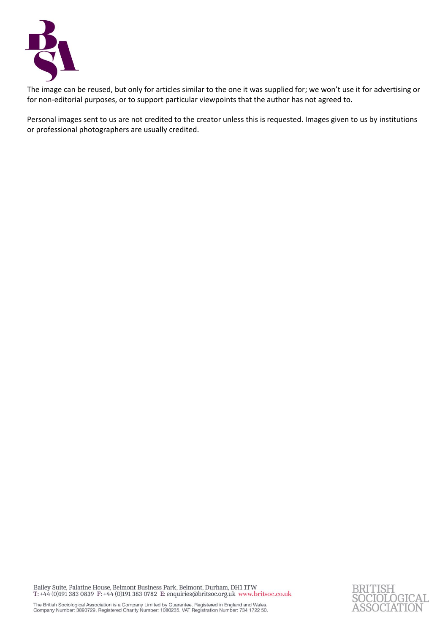

The image can be reused, but only for articles similar to the one it was supplied for; we won't use it for advertising or for non-editorial purposes, or to support particular viewpoints that the author has not agreed to.

Personal images sent to us are not credited to the creator unless this is requested. Images given to us by institutions or professional photographers are usually credited.

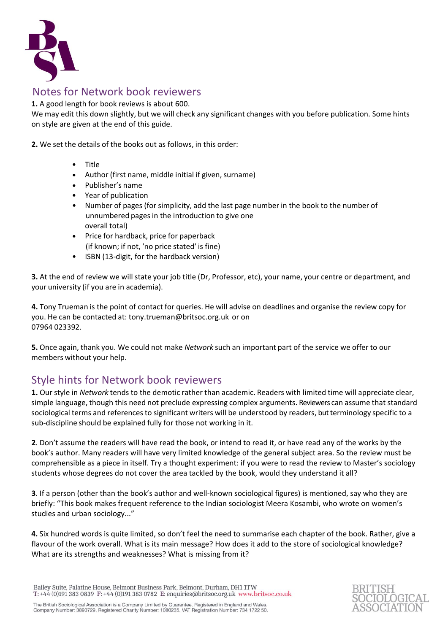

# Notes for Network book reviewers

**1.** A good length for book reviews is about 600.

We may edit this down slightly, but we will check any significant changes with you before publication. Some hints on style are given at the end of this guide.

**2.** We set the details of the books out as follows, in this order:

- Title
- Author (first name, middle initial if given, surname)
- Publisher's name
- Year of publication
- Number of pages (for simplicity, add the last page number in the book to the number of unnumbered pages in the introduction to give one overall total)
- Price for hardback, price for paperback (if known; if not, 'no price stated' is fine)
- ISBN (13-digit, for the hardback version)

**3.** At the end of review we will state your job title (Dr, Professor, etc), your name, your centre or department, and your university (if you are in academia).

**4.** Tony Trueman is the point of contact for queries. He will advise on deadlines and organise the review copy for you. He can be contacted at: [tony.trueman@britsoc.org.uk](mailto:tony.trueman@britsoc.org.uk) or on 07964 023392.

**5.** Once again, thank you. We could not make *Network* such an important part of the service we offer to our members without your help.

# Style hints for Network book reviewers

**1.** Our style in *Network* tends to the demotic rather than academic. Readers with limited time will appreciate clear, simple language, though this need not preclude expressing complex arguments. Reviewers can assume that standard sociological terms and references to significant writers will be understood by readers, but terminology specific to a sub-discipline should be explained fully for those not working in it.

**2**. Don't assume the readers will have read the book, or intend to read it, or have read any of the works by the book's author. Many readers will have very limited knowledge of the general subject area. So the review must be comprehensible as a piece in itself. Try a thought experiment: if you were to read the review to Master's sociology students whose degrees do not cover the area tackled by the book, would they understand it all?

**3**. If a person (other than the book's author and well-known sociological figures) is mentioned, say who they are briefly: "This book makes frequent reference to the Indian sociologist Meera Kosambi, who wrote on women's studies and urban sociology..."

**4.** Six hundred words is quite limited, so don't feel the need to summarise each chapter of the book. Rather, give a flavour of the work overall. What is its main message? How does it add to the store of sociological knowledge? What are its strengths and weaknesses? What is missing from it?

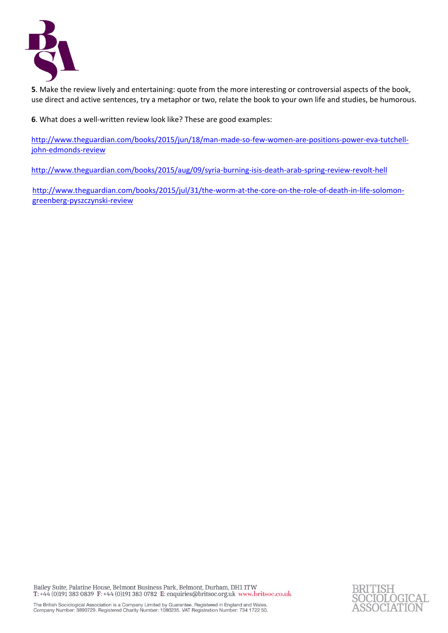

**5**. Make the review lively and entertaining: quote from the more interesting or controversial aspects of the book, use direct and active sentences, try a metaphor or two, relate the book to your own life and studies, be humorous.

**6**. What does a well-written review look like? These are good examples:

[http://www.theguardian.com/books/2015/jun/18/man-made-so-few-women-are-positions-power-eva-tutchell](http://www.theguardian.com/books/2015/jun/18/man-made-so-few-women-are-positions-power-eva-tutchell-john-edmonds-review)[john-edmonds-review](http://www.theguardian.com/books/2015/jun/18/man-made-so-few-women-are-positions-power-eva-tutchell-john-edmonds-review)

<http://www.theguardian.com/books/2015/aug/09/syria-burning-isis-death-arab-spring-review-revolt-hell>

[http://www.theguardian.com/books/2015/jul/31/the-worm-at-the-core-on-the-role-of-death-in-life-solomon](http://www.theguardian.com/books/2015/jul/31/the-worm-at-the-core-on-the-role-of-death-in-life-solomon-greenberg-pyszczynski-review)[greenberg-pyszczynski-review](http://www.theguardian.com/books/2015/jul/31/the-worm-at-the-core-on-the-role-of-death-in-life-solomon-greenberg-pyszczynski-review)

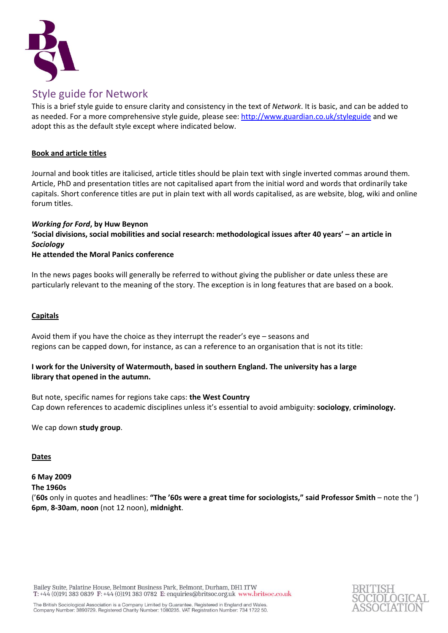

# Style guide for Network

This is a brief style guide to ensure clarity and consistency in the text of *Network*. It is basic, and can be added to as needed. For a more comprehensive style guide, please see[: http://www.guardian.co.uk/styleguide](http://www.guardian.co.uk/styleguide) and we adopt this as the default style except where indicated below.

# **Book and article titles**

Journal and book titles are italicised, article titles should be plain text with single inverted commas around them. Article, PhD and presentation titles are not capitalised apart from the initial word and words that ordinarily take capitals. Short conference titles are put in plain text with all words capitalised, as are website, blog, wiki and online forum titles.

## *Working for Ford***, by Huw Beynon**

**'Social divisions, social mobilities and social research: methodological issues after 40 years' – an article in**  *Sociology*

# **He attended the Moral Panics conference**

In the news pages books will generally be referred to without giving the publisher or date unless these are particularly relevant to the meaning of the story. The exception is in long features that are based on a book.

## **Capitals**

Avoid them if you have the choice as they interrupt the reader's eye – seasons and regions can be capped down, for instance, as can a reference to an organisation that is not its title:

# **I work for the University of Watermouth, based in southern England. The university has a large library that opened in the autumn.**

But note, specific names for regions take caps: **the West Country** Cap down references to academic disciplines unless it's essential to avoid ambiguity: **sociology**, **criminology.** 

We cap down **study group**.

# **Dates**

#### **6 May 2009 The 1960s**

('**60s** only in quotes and headlines: **"The '60s were a great time for sociologists," said Professor Smith** – note the ') **6pm**, **8-30am**, **noon** (not 12 noon), **midnight**.

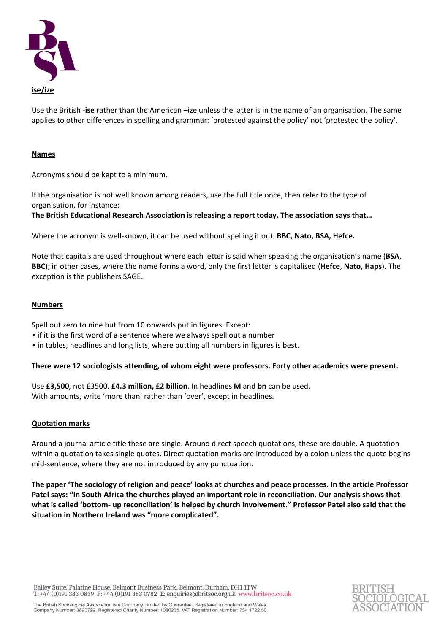

Use the British *-***ise** rather than the American *–*ize unless the latter is in the name of an organisation. The same applies to other differences in spelling and grammar: 'protested against the policy' not 'protested the policy'.

#### **Names**

Acronyms should be kept to a minimum.

If the organisation is not well known among readers, use the full title once, then refer to the type of organisation, for instance:

**The British Educational Research Association is releasing a report today. The association says that…**

Where the acronym is well-known, it can be used without spelling it out: **BBC, Nato, BSA, Hefce.**

Note that capitals are used throughout where each letter is said when speaking the organisation's name (**BSA**, **BBC**); in other cases, where the name forms a word, only the first letter is capitalised (**Hefce**, **Nato, Haps**). The exception is the publishers SAGE.

## **Numbers**

Spell out zero to nine but from 10 onwards put in figures. Except:

- if it is the first word of a sentence where we always spell out a number
- in tables, headlines and long lists, where putting all numbers in figures is best.

#### **There were 12 sociologists attending, of whom eight were professors. Forty other academics were present.**

Use **£3,500***,* not £3500. **£4.3 million, £2 billion**. In headlines **M** and **bn** can be used. With amounts, write 'more than' rather than 'over', except in headlines.

#### **Quotation marks**

Around a journal article title these are single. Around direct speech quotations, these are double. A quotation within a quotation takes single quotes. Direct quotation marks are introduced by a colon unless the quote begins mid-sentence, where they are not introduced by any punctuation.

**The paper 'The sociology of religion and peace' looks at churches and peace processes. In the article Professor Patel says: "In South Africa the churches played an important role in reconciliation. Our analysis shows that what is called 'bottom- up reconciliation' is helped by church involvement." Professor Patel also said that the situation in Northern Ireland was "more complicated".**